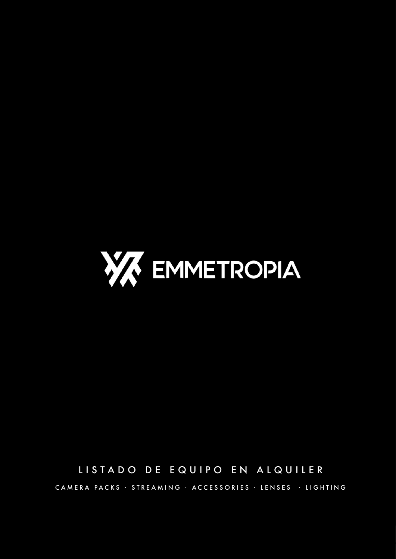

## LISTADO DE EQUIPO EN ALQUILER

CAMERA PACKS · STREAMING · ACCESSORIES · LENSES · LIGHTING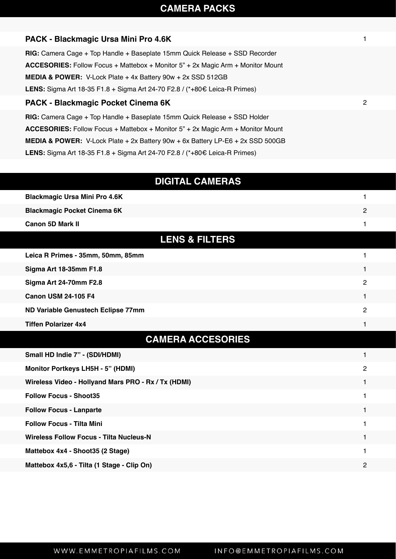## **CAMERA PACKS**

| PACK - Blackmagic Ursa Mini Pro 4.6K                                                        |              |
|---------------------------------------------------------------------------------------------|--------------|
| $RIG:$ Camera Cage + Top Handle + Baseplate 15mm Quick Release + SSD Recorder               |              |
| <b>ACCESORIES:</b> Follow Focus + Mattebox + Monitor 5" + 2x Magic Arm + Monitor Mount      |              |
| MEDIA & POWER: V-Lock Plate + 4x Battery 90w + 2x SSD 512GB                                 |              |
| LENS: Sigma Art 18-35 F1.8 + Sigma Art 24-70 F2.8 / (*+80€ Leica-R Primes)                  |              |
| PACK - Blackmagic Pocket Cinema 6K                                                          | $\mathbf{2}$ |
| $RIG:$ Camera Cage + Top Handle + Baseplate 15mm Quick Release + SSD Holder                 |              |
| <b>ACCESORIES:</b> Follow Focus + Mattebox + Monitor 5" + 2x Magic Arm + Monitor Mount      |              |
| <b>MEDIA &amp; POWER:</b> V-Lock Plate + 2x Battery $90w + 6x$ Battery LP-E6 + 2x SSD 500GB |              |
| <b>LENS:</b> Sigma Art 18-35 F1.8 + Sigma Art 24-70 F2.8 / (*+80 € Leica-R Primes)          |              |
|                                                                                             |              |
| <b>DIGITAL CAMERAS</b>                                                                      |              |
| <b>Blackmagic Ursa Mini Pro 4.6K</b>                                                        | 1            |
| <b>Blackmagic Pocket Cinema 6K</b>                                                          | 2            |
| <b>Canon 5D Mark II</b>                                                                     |              |
| <b>LENS &amp; FILTERS</b>                                                                   |              |

| Leica R Primes - 35mm, 50mm, 85mm  |    |
|------------------------------------|----|
| <b>Sigma Art 18-35mm F1.8</b>      |    |
| Sigma Art 24-70mm F2.8             | ּפ |
| <b>Canon USM 24-105 F4</b>         |    |
| ND Variable Genustech Eclipse 77mm | っ  |
| <b>Tiffen Polarizer 4x4</b>        |    |

## **CAMERA ACCESORIES**

| Small HD Indie 7" - (SDI/HDMI)                      |   |
|-----------------------------------------------------|---|
| <b>Monitor Portkeys LH5H - 5" (HDMI)</b>            | 2 |
| Wireless Video - Hollyand Mars PRO - Rx / Tx (HDMI) |   |
| <b>Follow Focus - Shoot35</b>                       |   |
| <b>Follow Focus - Lanparte</b>                      |   |
| <b>Follow Focus - Tilta Mini</b>                    |   |
| Wireless Follow Focus - Tilta Nucleus-N             |   |
| Mattebox 4x4 - Shoot35 (2 Stage)                    |   |
| Mattebox 4x5,6 - Tilta (1 Stage - Clip On)          | 2 |